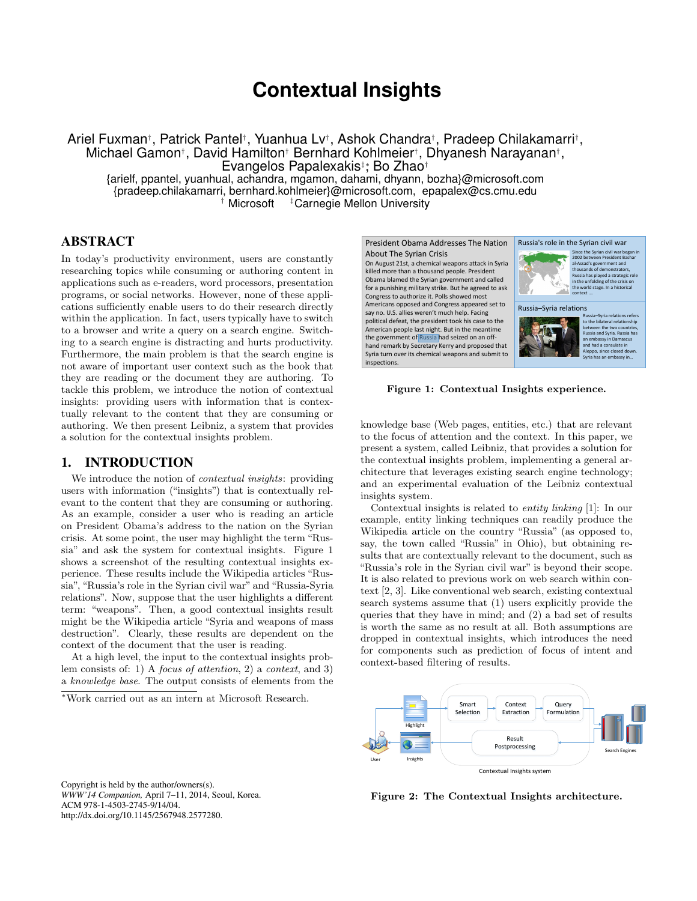# **Contextual Insights**

Ariel Fuxman†, Patrick Pantel†, Yuanhua Lv†, Ashok Chandra†, Pradeep Chilakamarri†, Michael Gamon† , David Hamilton† Bernhard Kohlmeier† , Dhyanesh Narayanan† , Evangelos Papalexakis‡∗, Bo Zhao†

{arielf, ppantel, yuanhual, achandra, mgamon, dahami, dhyann, bozha}@microsoft.com {pradeep.chilakamarri, bernhard.kohlmeier}@microsoft.com, epapalex@cs.cmu.edu † Microsoft ‡Carnegie Mellon University

## ABSTRACT

In today's productivity environment, users are constantly researching topics while consuming or authoring content in applications such as e-readers, word processors, presentation programs, or social networks. However, none of these applications sufficiently enable users to do their research directly within the application. In fact, users typically have to switch to a browser and write a query on a search engine. Switching to a search engine is distracting and hurts productivity. Furthermore, the main problem is that the search engine is not aware of important user context such as the book that they are reading or the document they are authoring. To tackle this problem, we introduce the notion of contextual insights: providing users with information that is contextually relevant to the content that they are consuming or authoring. We then present Leibniz, a system that provides a solution for the contextual insights problem.

## 1. INTRODUCTION

We introduce the notion of *contextual insights*: providing users with information ("insights") that is contextually relevant to the content that they are consuming or authoring. As an example, consider a user who is reading an article on President Obama's address to the nation on the Syrian crisis. At some point, the user may highlight the term "Russia" and ask the system for contextual insights. Figure [1](#page-0-0) shows a screenshot of the resulting contextual insights experience. These results include the Wikipedia articles "Russia", "Russia's role in the Syrian civil war" and "Russia-Syria relations". Now, suppose that the user highlights a different term: "weapons". Then, a good contextual insights result might be the Wikipedia article "Syria and weapons of mass destruction". Clearly, these results are dependent on the context of the document that the user is reading.

At a high level, the input to the contextual insights problem consists of: 1) A focus of attention, 2) a context, and 3) a knowledge base. The output consists of elements from the

<sup>∗</sup>Work carried out as an intern at Microsoft Research.



Figure 1: Contextual Insights experience.

<span id="page-0-0"></span>knowledge base (Web pages, entities, etc.) that are relevant to the focus of attention and the context. In this paper, we present a system, called Leibniz, that provides a solution for the contextual insights problem, implementing a general architecture that leverages existing search engine technology; and an experimental evaluation of the Leibniz contextual insights system.

Contextual insights is related to entity linking [\[1\]](#page-1-0): In our example, entity linking techniques can readily produce the Wikipedia article on the country "Russia" (as opposed to, say, the town called "Russia" in Ohio), but obtaining results that are contextually relevant to the document, such as "Russia's role in the Syrian civil war" is beyond their scope. It is also related to previous work on web search within context [\[2,](#page-1-1) [3\]](#page-1-2). Like conventional web search, existing contextual search systems assume that (1) users explicitly provide the queries that they have in mind; and (2) a bad set of results is worth the same as no result at all. Both assumptions are dropped in contextual insights, which introduces the need for components such as prediction of focus of intent and context-based filtering of results.



<span id="page-0-1"></span>Figure 2: The Contextual Insights architecture.

Copyright is held by the author/owners(s). *WWW'14 Companion,* April 7–11, 2014, Seoul, Korea. ACM 978-1-4503-2745-9/14/04. http://dx.doi.org/10.1145/2567948.2577280.